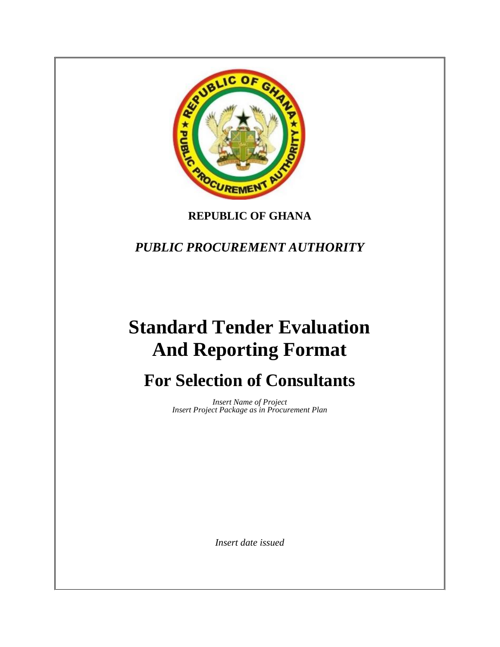

## **REPUBLIC OF GHANA**

*PUBLIC PROCUREMENT AUTHORITY*

# **Standard Tender Evaluation And Reporting Format**

# **For Selection of Consultants**

*Insert Name of Project Insert Project Package as in Procurement Plan*

*Insert date issued*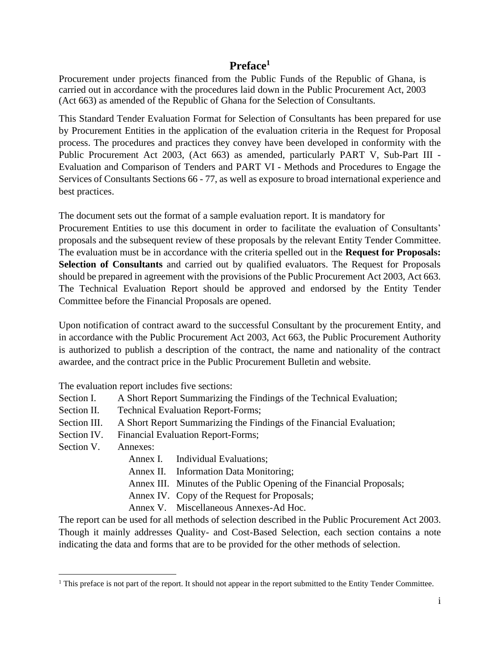#### **Preface<sup>1</sup>**

Procurement under projects financed from the Public Funds of the Republic of Ghana, is carried out in accordance with the procedures laid down in the Public Procurement Act, 2003 (Act 663) as amended of the Republic of Ghana for the Selection of Consultants.

This Standard Tender Evaluation Format for Selection of Consultants has been prepared for use by Procurement Entities in the application of the evaluation criteria in the Request for Proposal process. The procedures and practices they convey have been developed in conformity with the Public Procurement Act 2003, (Act 663) as amended, particularly PART V, Sub-Part III - Evaluation and Comparison of Tenders and PART VI - Methods and Procedures to Engage the Services of Consultants Sections 66 - 77, as well as exposure to broad international experience and best practices.

The document sets out the format of a sample evaluation report. It is mandatory for Procurement Entities to use this document in order to facilitate the evaluation of Consultants' proposals and the subsequent review of these proposals by the relevant Entity Tender Committee. The evaluation must be in accordance with the criteria spelled out in the **Request for Proposals: Selection of Consultants** and carried out by qualified evaluators. The Request for Proposals should be prepared in agreement with the provisions of the Public Procurement Act 2003, Act 663. The Technical Evaluation Report should be approved and endorsed by the Entity Tender Committee before the Financial Proposals are opened.

Upon notification of contract award to the successful Consultant by the procurement Entity, and in accordance with the Public Procurement Act 2003, Act 663, the Public Procurement Authority is authorized to publish a description of the contract, the name and nationality of the contract awardee, and the contract price in the Public Procurement Bulletin and website.

The evaluation report includes five sections:

- Section I. A Short Report Summarizing the Findings of the Technical Evaluation;
- Section II. Technical Evaluation Report-Forms;
- Section III. A Short Report Summarizing the Findings of the Financial Evaluation;
- Section IV. Financial Evaluation Report-Forms;
- Section V. Annexes:
	- Annex I. Individual Evaluations;
	- Annex II. Information Data Monitoring;
	- Annex III. Minutes of the Public Opening of the Financial Proposals;
	- Annex IV. Copy of the Request for Proposals;
	- Annex V. Miscellaneous Annexes-Ad Hoc.

The report can be used for all methods of selection described in the Public Procurement Act 2003. Though it mainly addresses Quality- and Cost-Based Selection, each section contains a note indicating the data and forms that are to be provided for the other methods of selection.

<sup>&</sup>lt;sup>1</sup> This preface is not part of the report. It should not appear in the report submitted to the Entity Tender Committee.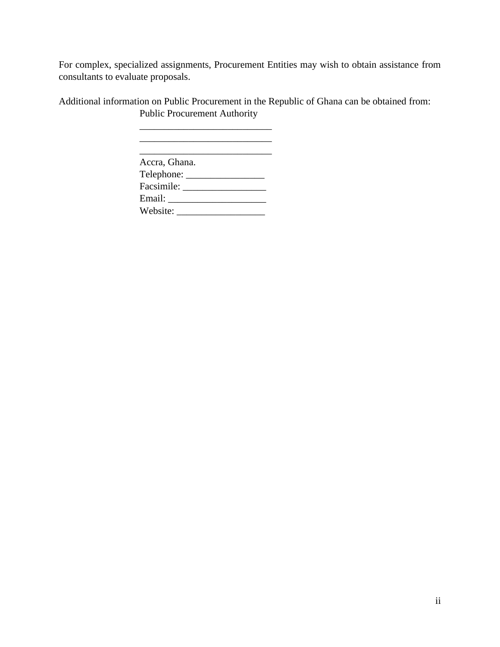For complex, specialized assignments, Procurement Entities may wish to obtain assistance from consultants to evaluate proposals.

Additional information on Public Procurement in the Republic of Ghana can be obtained from: Public Procurement Authority

| Accra, Ghana.      |  |
|--------------------|--|
| Telephone: _______ |  |
| Facsimile:         |  |
| Email:             |  |
| Website:           |  |

\_\_\_\_\_\_\_\_\_\_\_\_\_\_\_\_\_\_\_\_\_\_\_\_\_\_\_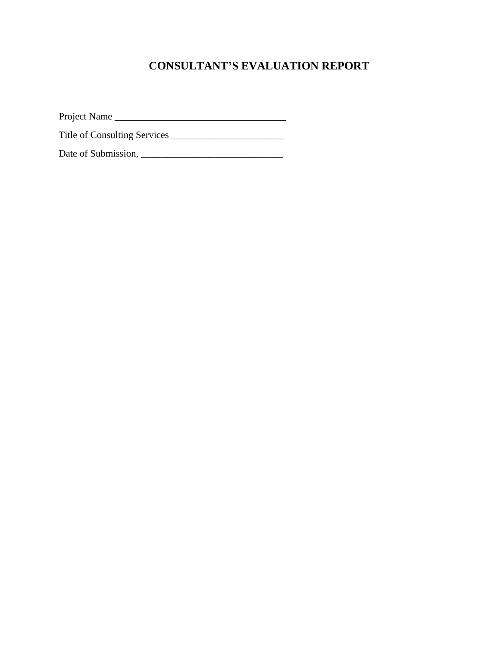## **CONSULTANT'S EVALUATION REPORT**

Project Name \_\_\_\_\_\_\_\_\_\_\_\_\_\_\_\_\_\_\_\_\_\_\_\_\_\_\_\_\_\_\_\_\_\_\_

Title of Consulting Services \_\_\_\_\_\_\_\_\_\_\_\_\_\_\_\_\_\_\_\_\_\_\_

Date of Submission, \_\_\_\_\_\_\_\_\_\_\_\_\_\_\_\_\_\_\_\_\_\_\_\_\_\_\_\_\_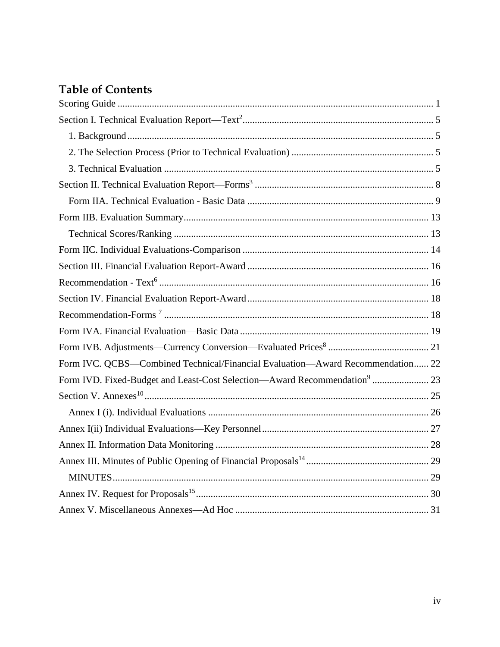## **Table of Contents**

| Form IVC. QCBS—Combined Technical/Financial Evaluation—Award Recommendation 22 |
|--------------------------------------------------------------------------------|
|                                                                                |
|                                                                                |
|                                                                                |
|                                                                                |
|                                                                                |
|                                                                                |
|                                                                                |
|                                                                                |
|                                                                                |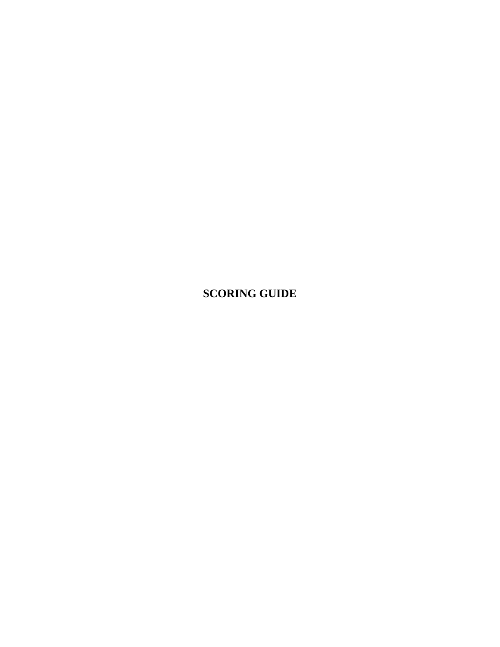<span id="page-5-0"></span>**SCORING GUIDE**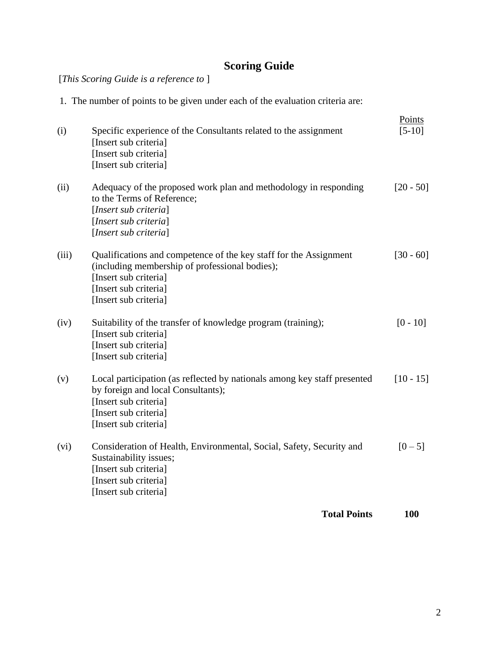## **Scoring Guide**

[*This Scoring Guide is a reference to* ]

1. The number of points to be given under each of the evaluation criteria are:

| <b>Total Points</b>                                                                                                                                                                            | 100                |
|------------------------------------------------------------------------------------------------------------------------------------------------------------------------------------------------|--------------------|
| Consideration of Health, Environmental, Social, Safety, Security and<br>Sustainability issues;<br>[Insert sub criteria]<br>[Insert sub criteria]<br>[Insert sub criteria]                      | $[0 - 5]$          |
| Local participation (as reflected by nationals among key staff presented<br>by foreign and local Consultants);<br>[Insert sub criteria]<br>[Insert sub criteria]<br>[Insert sub criteria]      | $[10 - 15]$        |
| Suitability of the transfer of knowledge program (training);<br>[Insert sub criteria]<br>[Insert sub criteria]<br>[Insert sub criteria]                                                        | $[0 - 10]$         |
| Qualifications and competence of the key staff for the Assignment<br>(including membership of professional bodies);<br>[Insert sub criteria]<br>[Insert sub criteria]<br>[Insert sub criteria] | $[30 - 60]$        |
| Adequacy of the proposed work plan and methodology in responding<br>to the Terms of Reference;<br>[Insert sub criteria]<br>[Insert sub criteria]<br>[Insert sub criteria]                      | $[20 - 50]$        |
| Specific experience of the Consultants related to the assignment<br>[Insert sub criteria]<br>[Insert sub criteria]<br>[Insert sub criteria]                                                    | Points<br>$[5-10]$ |
|                                                                                                                                                                                                |                    |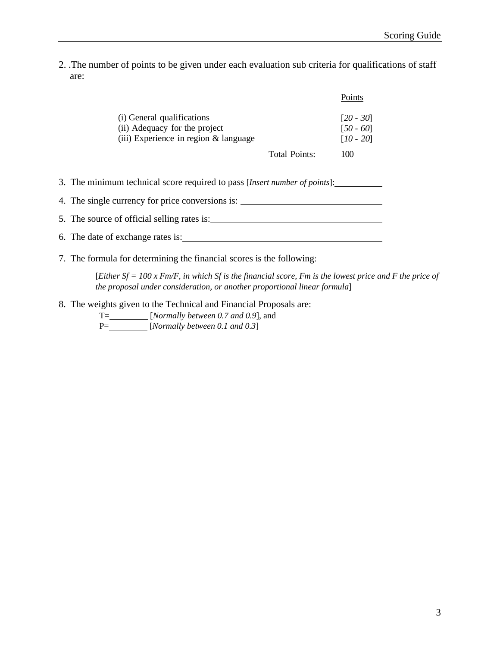2. .The number of points to be given under each evaluation sub criteria for qualifications of staff are:

|                                                                                                          |               | Points                                    |
|----------------------------------------------------------------------------------------------------------|---------------|-------------------------------------------|
| (i) General qualifications<br>(ii) Adequacy for the project<br>$(iii)$ Experience in region $&$ language |               | $[20 - 30]$<br>$[50 - 60]$<br>$[10 - 20]$ |
|                                                                                                          | Total Points: | 100                                       |

- 3. The minimum technical score required to pass [*Insert number of points*]:
- 4. The single currency for price conversions is:
- 5. The source of official selling rates is:
- 6. The date of exchange rates is:
- 7. The formula for determining the financial scores is the following:

[*Either Sf = 100 x Fm/F, in which Sf is the financial score, Fm is the lowest price and F the price of the proposal under consideration, or another proportional linear formula*]

8. The weights given to the Technical and Financial Proposals are:

T= [*Normally between 0.7 and 0.9*], and P= [*Normally between 0.1 and 0.3*]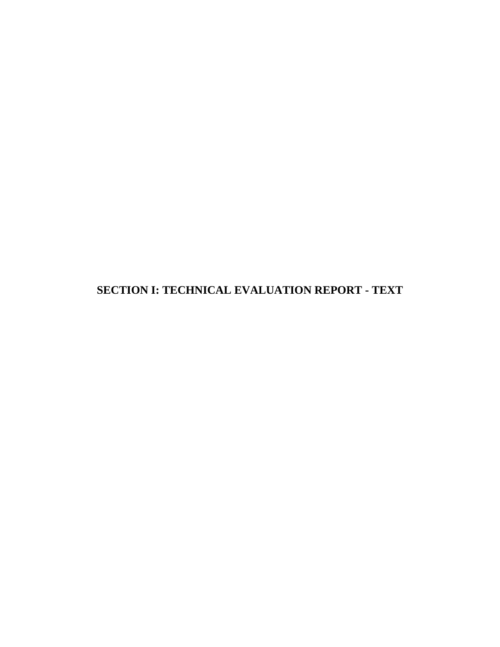**SECTION I: TECHNICAL EVALUATION REPORT - TEXT**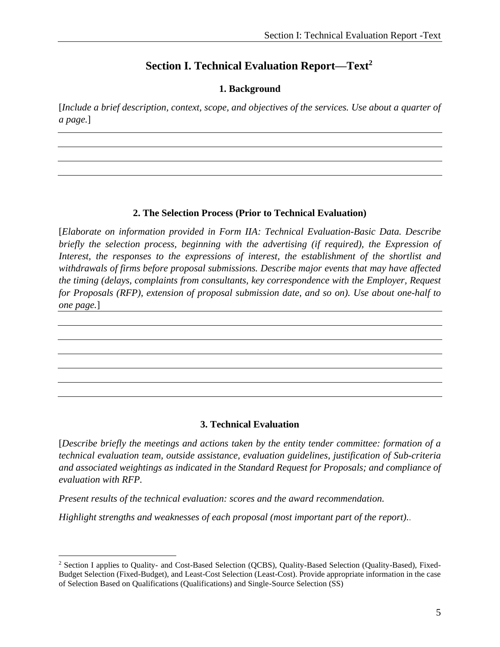#### **Section I. Technical Evaluation Report—Text<sup>2</sup>**

#### **1. Background**

<span id="page-9-1"></span><span id="page-9-0"></span>[*Include a brief description, context, scope, and objectives of the services. Use about a quarter of a page.*]

#### **2. The Selection Process (Prior to Technical Evaluation)**

<span id="page-9-2"></span>[*Elaborate on information provided in Form IIA: Technical Evaluation-Basic Data. Describe briefly the selection process, beginning with the advertising (if required), the Expression of Interest, the responses to the expressions of interest, the establishment of the shortlist and withdrawals of firms before proposal submissions. Describe major events that may have affected the timing (delays, complaints from consultants, key correspondence with the Employer, Request for Proposals (RFP), extension of proposal submission date, and so on). Use about one-half to one page.*]

#### **3. Technical Evaluation**

<span id="page-9-3"></span>[*Describe briefly the meetings and actions taken by the entity tender committee: formation of a technical evaluation team, outside assistance, evaluation guidelines, justification of Sub-criteria and associated weightings as indicated in the Standard Request for Proposals; and compliance of evaluation with RFP.*

*Present results of the technical evaluation: scores and the award recommendation.*

*Highlight strengths and weaknesses of each proposal (most important part of the report).*.

<sup>2</sup> Section I applies to Quality- and Cost-Based Selection (QCBS), Quality-Based Selection (Quality-Based), Fixed-Budget Selection (Fixed-Budget), and Least-Cost Selection (Least-Cost). Provide appropriate information in the case of Selection Based on Qualifications (Qualifications) and Single-Source Selection (SS)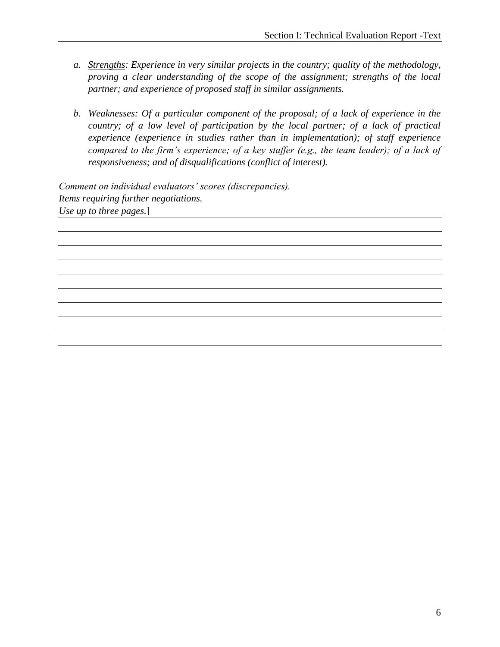- *a. Strengths: Experience in very similar projects in the country; quality of the methodology, proving a clear understanding of the scope of the assignment; strengths of the local partner; and experience of proposed staff in similar assignments.*
- *b. Weaknesses: Of a particular component of the proposal; of a lack of experience in the country; of a low level of participation by the local partner; of a lack of practical experience (experience in studies rather than in implementation); of staff experience compared to the firm's experience; of a key staffer (e.g., the team leader); of a lack of responsiveness; and of disqualifications (conflict of interest).*

*Comment on individual evaluators' scores (discrepancies). Items requiring further negotiations. Use up to three pages.*]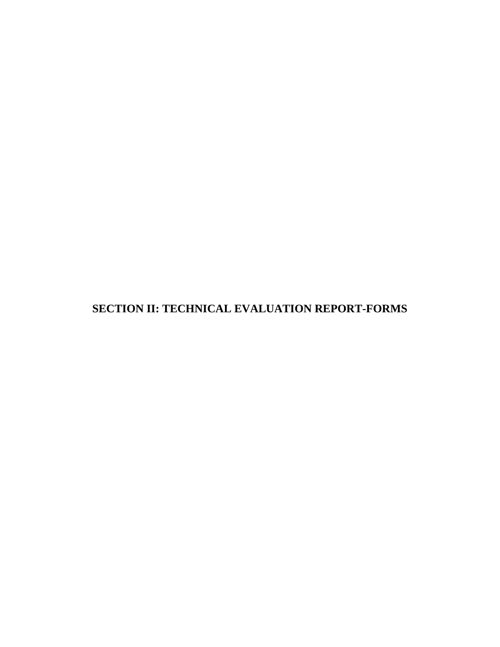**SECTION II: TECHNICAL EVALUATION REPORT-FORMS**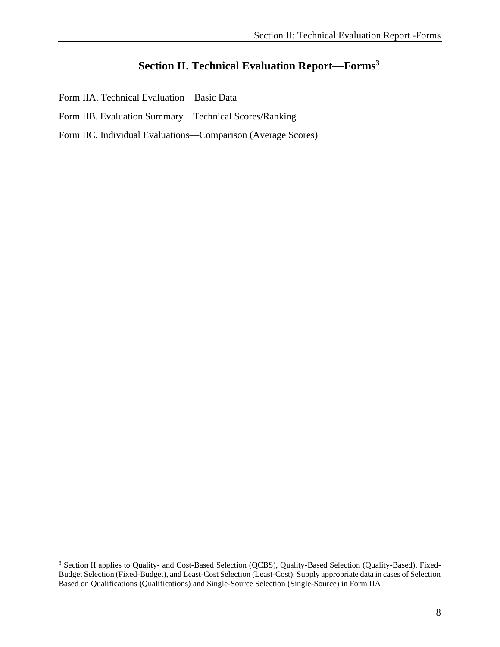## **Section II. Technical Evaluation Report—Forms<sup>3</sup>**

<span id="page-12-0"></span>Form IIA. Technical Evaluation—Basic Data

- Form IIB. Evaluation Summary—Technical Scores/Ranking
- Form IIC. Individual Evaluations—Comparison (Average Scores)

<sup>&</sup>lt;sup>3</sup> Section II applies to Quality- and Cost-Based Selection (QCBS), Quality-Based Selection (Quality-Based), Fixed-Budget Selection (Fixed-Budget), and Least-Cost Selection (Least-Cost). Supply appropriate data in cases of Selection Based on Qualifications (Qualifications) and Single-Source Selection (Single-Source) in Form IIA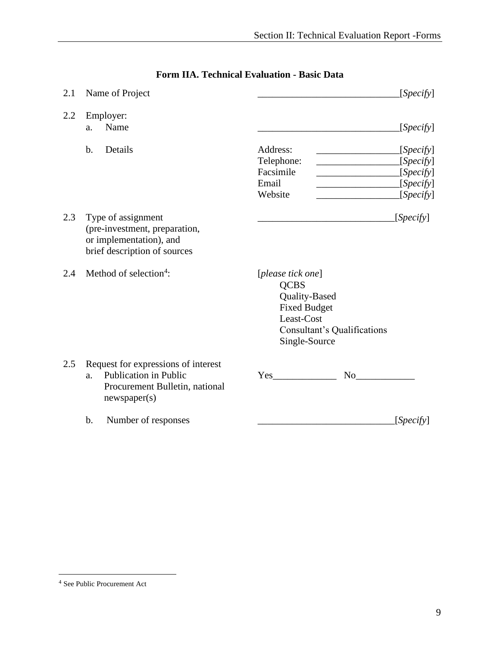<span id="page-13-0"></span>

| 2.1 | Name of Project                                                                                                             | [Specify]                                                                                                                              |
|-----|-----------------------------------------------------------------------------------------------------------------------------|----------------------------------------------------------------------------------------------------------------------------------------|
| 2.2 | Employer:<br>Name<br>a.                                                                                                     | [Specify]                                                                                                                              |
|     | b.<br>Details                                                                                                               | Address:<br>[Specify]<br>Telephone:<br>[Specify]<br>Facsimile<br>[Specify]<br>Email<br>[Specify]<br>Website<br>[Specify]               |
| 2.3 | Type of assignment<br>(pre-investment, preparation,<br>or implementation), and<br>brief description of sources              | [Specify]                                                                                                                              |
| 2.4 | Method of selection <sup>4</sup> :                                                                                          | [please tick one]<br><b>QCBS</b><br>Quality-Based<br><b>Fixed Budget</b><br>Least-Cost<br>Consultant's Qualifications<br>Single-Source |
| 2.5 | Request for expressions of interest<br><b>Publication in Public</b><br>a.<br>Procurement Bulletin, national<br>newspaper(s) | Yes<br>No.                                                                                                                             |
|     | b.<br>Number of responses                                                                                                   | [Specify]                                                                                                                              |

### **Form IIA. Technical Evaluation - Basic Data**

<sup>4</sup> See Public Procurement Act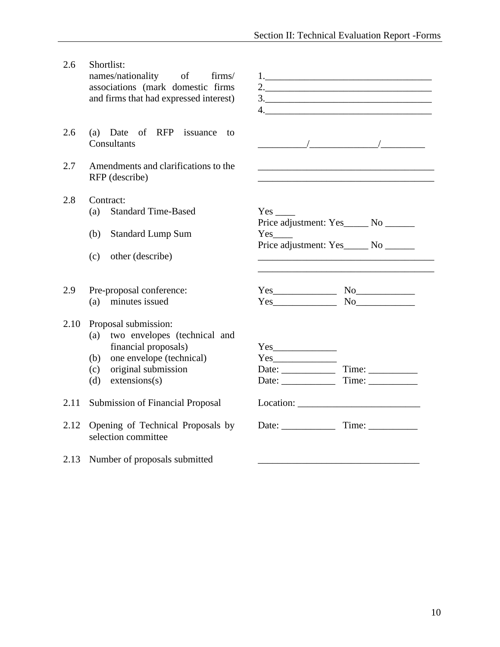2.6 Shortlist:

names/nationality of firms/ associations (mark domestic firms and firms that had expressed interest)

- 2.6 (a) Date of RFP issuance to Consultants \_\_\_\_\_\_\_\_\_\_/\_\_\_\_\_\_\_\_\_\_\_\_\_\_/\_\_\_\_\_\_\_\_\_
- 2.7 Amendments and clarifications to the RFP (describe)
- 2.8 Contract: (a) Standard Time-Based
	- (b) Standard Lump Sum
	- (c) other (describe) \_\_\_\_\_\_\_\_\_\_\_\_\_\_\_\_\_\_\_\_\_\_\_\_\_\_\_\_\_\_\_\_\_\_\_\_
- 2.9 Pre-proposal conference: (a) minutes issued

#### 2.10 Proposal submission:

- (a) two envelopes (technical and financial proposals)
- (b) one envelope (technical)
- $(c)$  original submission
- (d) extensions(s)

2.11 Submission of Financial Proposal

- 2.12 Opening of Technical Proposals by selection committee
- 2.13 Number of proposals submitted

|                        | 3.                                   |  |  |
|------------------------|--------------------------------------|--|--|
|                        |                                      |  |  |
|                        |                                      |  |  |
|                        |                                      |  |  |
|                        |                                      |  |  |
|                        |                                      |  |  |
|                        |                                      |  |  |
|                        |                                      |  |  |
|                        |                                      |  |  |
|                        |                                      |  |  |
|                        |                                      |  |  |
|                        | Price adjustment: Yes_____ No ______ |  |  |
| $Yes$ <sub>_____</sub> | Price adjustment: Yes_____ No ______ |  |  |
|                        |                                      |  |  |
|                        |                                      |  |  |
|                        |                                      |  |  |
|                        | $Yes$ No                             |  |  |
|                        | $Yes$ No $No$                        |  |  |
|                        |                                      |  |  |
|                        |                                      |  |  |
|                        |                                      |  |  |
|                        |                                      |  |  |

Date: \_\_\_\_\_\_\_\_\_\_\_ Time: \_\_\_\_\_\_\_\_\_\_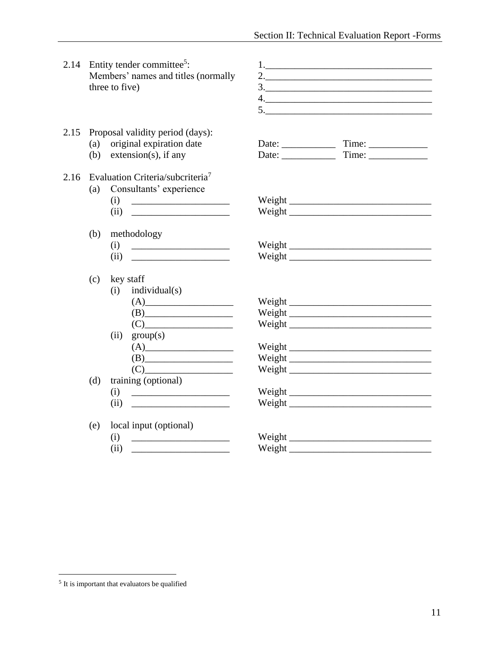|      |            | 2.14 Entity tender committee <sup>5</sup> :<br>Members' names and titles (normally<br>three to five)                                                                                                                                                                                                                                                | 3.                                                       |
|------|------------|-----------------------------------------------------------------------------------------------------------------------------------------------------------------------------------------------------------------------------------------------------------------------------------------------------------------------------------------------------|----------------------------------------------------------|
| 2.15 |            | Proposal validity period (days):<br>(a) original expiration date<br>(b) extension(s), if any                                                                                                                                                                                                                                                        | Date: $\qquad \qquad \text{Time:} \qquad$<br>Date: Time: |
|      | (a)        | 2.16 Evaluation Criteria/subcriteria <sup>7</sup><br>Consultants' experience<br>(i)<br>(ii)                                                                                                                                                                                                                                                         |                                                          |
|      | (b)        | methodology<br>(i)<br>(ii)                                                                                                                                                                                                                                                                                                                          | Weight                                                   |
|      | (c)<br>(d) | key staff<br>individual(s)<br>(i)<br>(B)<br>(ii)<br>group(s)<br>(A)<br>$(C)$ and $(C)$ and $(C)$ and $(C)$ and $(C)$ and $(C)$ and $(C)$ and $(C)$ and $(C)$ and $(C)$ and $(C)$ and $(C)$ and $(C)$ and $(C)$ and $(C)$ and $(C)$ and $(C)$ and $(C)$ and $(C)$ and $(C)$ and $(C)$ and $(C)$ and $(C)$ and $(C)$ and $(C)$<br>training (optional) | Weight<br>Weight<br>Weight                               |
|      |            | (i)<br>$\overline{\text{(ii)}}$                                                                                                                                                                                                                                                                                                                     |                                                          |
|      | (e)        | local input (optional)<br>(i)<br>(ii)<br><u> 1989 - Johann Barbara, martxa alemaniar a</u>                                                                                                                                                                                                                                                          | Weight                                                   |

<sup>&</sup>lt;sup>5</sup> It is important that evaluators be qualified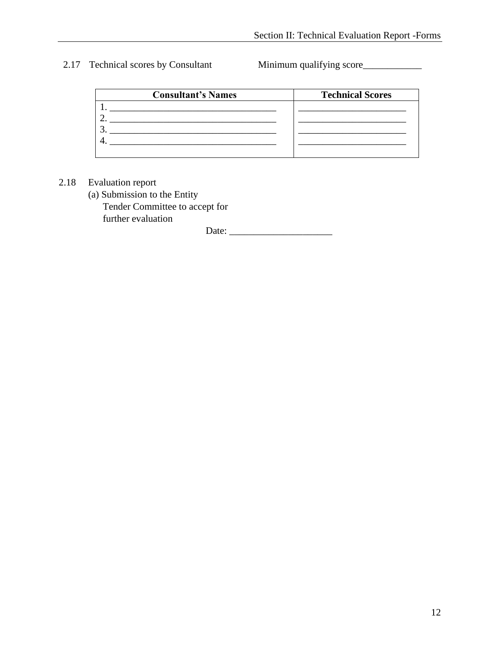2.17 Technical scores by Consultant Minimum qualifying score

| <b>Consultant's Names</b> | <b>Technical Scores</b> |
|---------------------------|-------------------------|
|                           |                         |
|                           |                         |
|                           |                         |
|                           |                         |
|                           |                         |

#### 2.18 Evaluation report

(a) Submission to the Entity Tender Committee to accept for further evaluation

Date: \_\_\_\_\_\_\_\_\_\_\_\_\_\_\_\_\_\_\_\_\_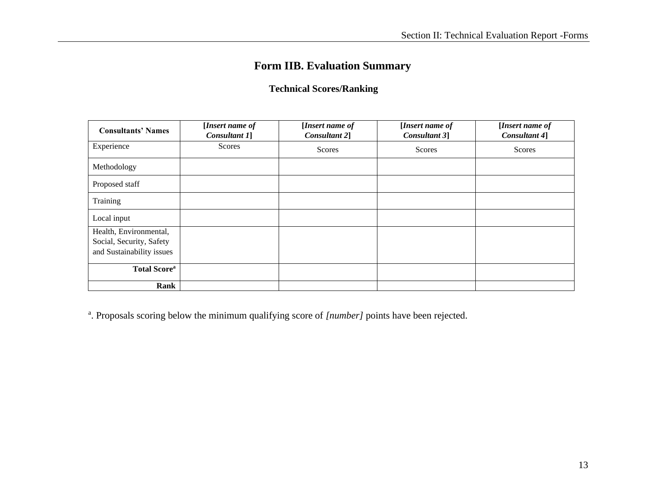## **Form IIB. Evaluation Summary**

#### **Technical Scores/Ranking**

<span id="page-17-0"></span>

| <b>Consultants' Names</b>       | [Insert name of<br>Consultant 1] | [Insert name of<br>Consultant 2] | [Insert name of<br>Consultant 3] | [Insert name of<br>Consultant 4] |
|---------------------------------|----------------------------------|----------------------------------|----------------------------------|----------------------------------|
| Experience                      | Scores                           | <b>Scores</b>                    | Scores                           | Scores                           |
| Methodology                     |                                  |                                  |                                  |                                  |
| Proposed staff                  |                                  |                                  |                                  |                                  |
| Training                        |                                  |                                  |                                  |                                  |
| Local input                     |                                  |                                  |                                  |                                  |
| Health, Environmental,          |                                  |                                  |                                  |                                  |
| Social, Security, Safety        |                                  |                                  |                                  |                                  |
| and Sustainability issues       |                                  |                                  |                                  |                                  |
| <b>Total Score</b> <sup>a</sup> |                                  |                                  |                                  |                                  |
| Rank                            |                                  |                                  |                                  |                                  |

<span id="page-17-1"></span><sup>a</sup>. Proposals scoring below the minimum qualifying score of [number] points have been rejected.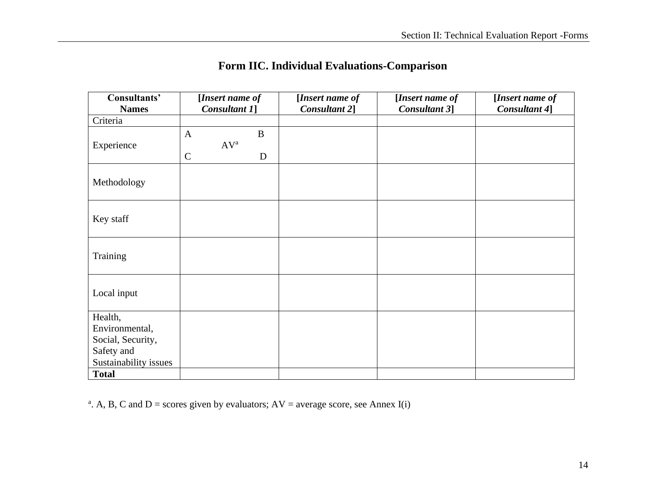<span id="page-18-0"></span>

| Consultants'<br><b>Names</b> | [Insert name of<br>Consultant 1]                          | [Insert name of<br>Consultant 2] | [Insert name of<br>Consultant 3] | [Insert name of<br>Consultant 4] |
|------------------------------|-----------------------------------------------------------|----------------------------------|----------------------------------|----------------------------------|
| Criteria                     |                                                           |                                  |                                  |                                  |
| Experience                   | $\mathbf B$<br>$\mathbf{A}$<br>$AV^a$<br>$\mathbf C$<br>D |                                  |                                  |                                  |
| Methodology                  |                                                           |                                  |                                  |                                  |
| Key staff                    |                                                           |                                  |                                  |                                  |
| Training                     |                                                           |                                  |                                  |                                  |
| Local input                  |                                                           |                                  |                                  |                                  |
| Health,                      |                                                           |                                  |                                  |                                  |
| Environmental,               |                                                           |                                  |                                  |                                  |
| Social, Security,            |                                                           |                                  |                                  |                                  |
| Safety and                   |                                                           |                                  |                                  |                                  |
| Sustainability issues        |                                                           |                                  |                                  |                                  |
| <b>Total</b>                 |                                                           |                                  |                                  |                                  |

## **Form IIC. Individual Evaluations-Comparison**

<sup>a</sup>. A, B, C and D = scores given by evaluators;  $AV = average score$ , see Annex I(i)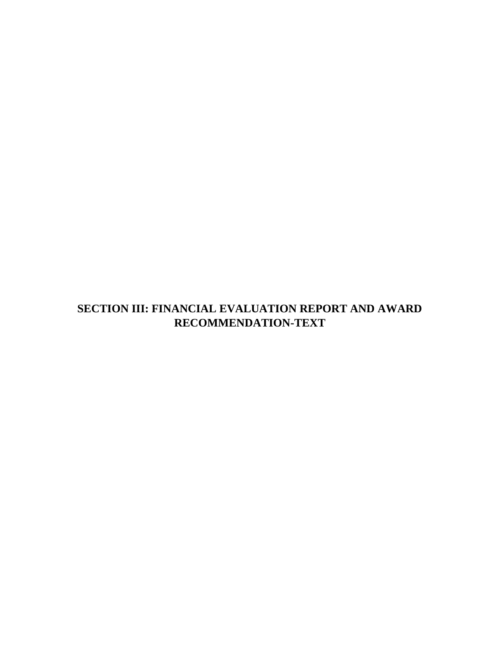## **SECTION III: FINANCIAL EVALUATION REPORT AND AWARD RECOMMENDATION-TEXT**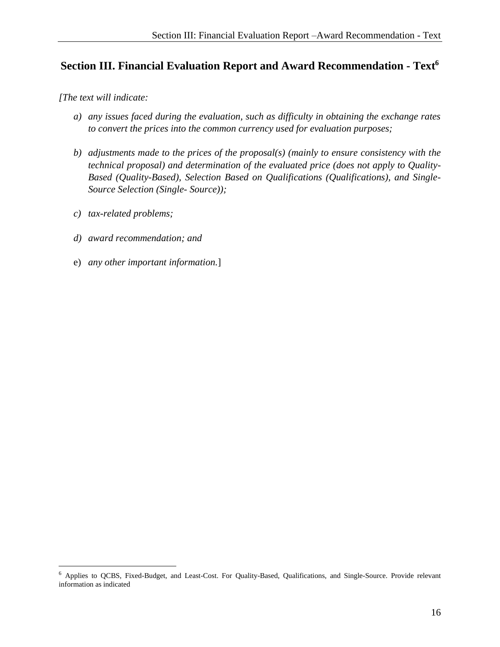#### <span id="page-20-0"></span>**Section III. Financial Evaluation Report and Award Recommendation - Text 6**

*[The text will indicate:*

- <span id="page-20-1"></span>*a) any issues faced during the evaluation, such as difficulty in obtaining the exchange rates to convert the prices into the common currency used for evaluation purposes;*
- *b) adjustments made to the prices of the proposal(s) (mainly to ensure consistency with the technical proposal) and determination of the evaluated price (does not apply to Quality-Based (Quality-Based), Selection Based on Qualifications (Qualifications), and Single-Source Selection (Single- Source));*
- *c) tax-related problems;*
- *d) award recommendation; and*
- e) *any other important information.*]

<sup>6</sup> Applies to QCBS, Fixed-Budget, and Least-Cost. For Quality-Based, Qualifications, and Single-Source. Provide relevant information as indicated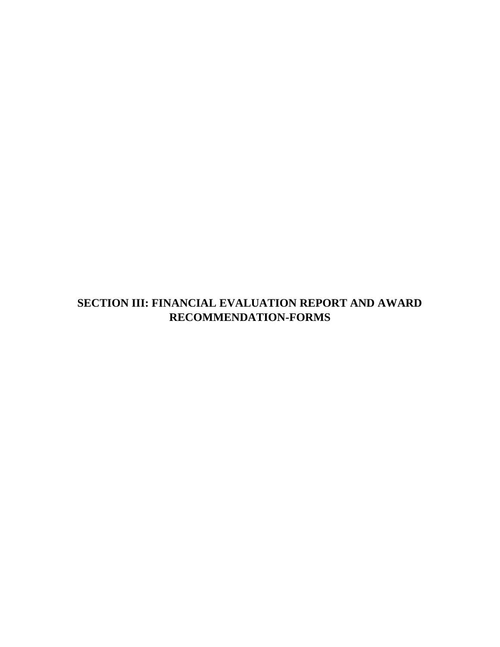## **SECTION III: FINANCIAL EVALUATION REPORT AND AWARD RECOMMENDATION-FORMS**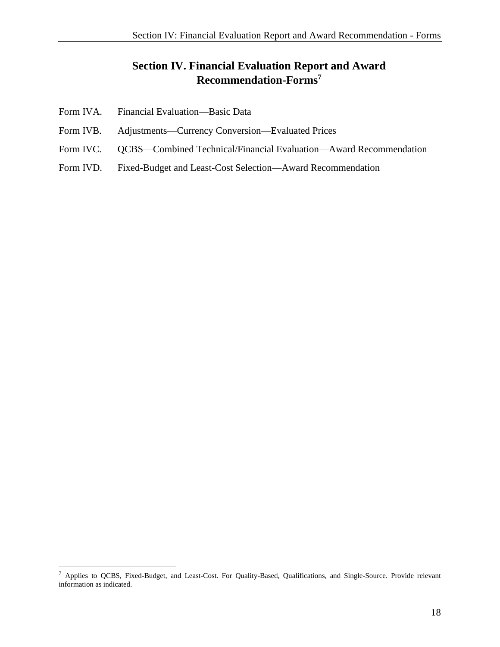### <span id="page-22-1"></span>**Section IV. Financial Evaluation Report and Award Recommendation-Forms 7**

- <span id="page-22-0"></span>Form IVA. Financial Evaluation—Basic Data
- Form IVB. Adjustments—Currency Conversion—Evaluated Prices
- Form IVC. QCBS—Combined Technical/Financial Evaluation—Award Recommendation
- Form IVD. Fixed-Budget and Least-Cost Selection—Award Recommendation

<sup>7</sup> Applies to QCBS, Fixed-Budget, and Least-Cost. For Quality-Based, Qualifications, and Single-Source. Provide relevant information as indicated.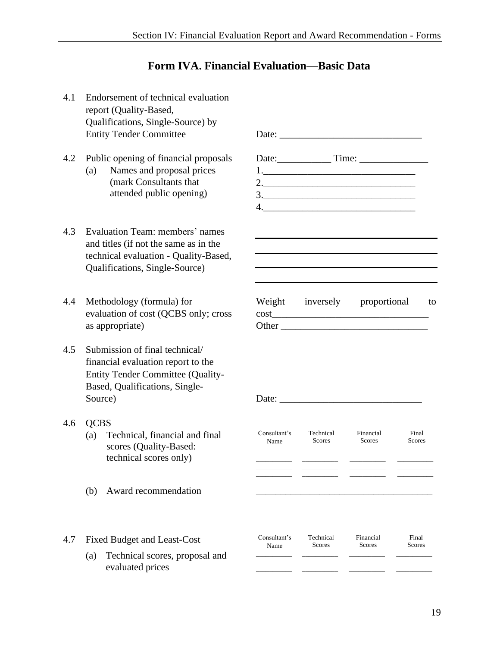#### **Form IVA. Financial Evaluation—Basic Data**

<span id="page-23-0"></span>4.1 Endorsement of technical evaluation report (Quality-Based, Qualifications, Single-Source) by Entity Tender Committee Date: \_\_\_\_\_\_\_\_\_\_\_\_\_\_\_\_\_\_\_\_\_\_\_\_\_\_\_\_\_ 4.2 Public opening of financial proposals Date: Time: \_\_\_\_\_\_\_\_\_\_\_\_\_\_\_\_\_\_\_\_\_\_\_\_\_\_\_ (a) Names and proposal prices (mark Consultants that attended public opening) 1.\_\_\_\_\_\_\_\_\_\_\_\_\_\_\_\_\_\_\_\_\_\_\_\_\_\_\_\_\_\_\_ 2.\_\_\_\_\_\_\_\_\_\_\_\_\_\_\_\_\_\_\_\_\_\_\_\_\_\_\_\_\_\_\_  $3.$  $4.$ 4.3 Evaluation Team: members' names and titles (if not the same as in the technical evaluation - Quality-Based, Qualifications, Single-Source) 4.4 Methodology (formula) for evaluation of cost (QCBS only; cross as appropriate) Weight inversely proportional to cost Other \_\_\_\_\_\_\_\_\_\_\_\_\_\_\_\_\_\_\_\_\_\_\_\_\_\_\_\_\_\_ 4.5 Submission of final technical/ financial evaluation report to the Entity Tender Committee (Quality-Based, Qualifications, Single-Source) Date: \_\_\_\_\_\_\_\_\_\_\_\_\_\_\_\_\_\_\_\_\_\_\_\_\_\_\_\_\_ 4.6 QCBS (a) Technical, financial and final scores (Quality-Based: technical scores only) Consultant's Name Technical Scores Financial Scores Final Scores  $\overline{\phantom{a}}$ \_\_\_\_\_\_\_\_\_\_\_ \_\_\_\_\_\_\_\_\_\_\_ \_\_\_\_\_\_\_\_\_\_\_  $\overline{\phantom{a}}$  $\overline{\phantom{a}}$  , where  $\overline{\phantom{a}}$  $\overline{\phantom{a}}$  , where  $\overline{\phantom{a}}$  $\overline{\phantom{a}}$  , where  $\overline{\phantom{a}}$  $\overline{\phantom{a}}$ \_\_\_\_\_\_\_\_\_\_\_  $\overline{\phantom{a}}$  , where  $\overline{\phantom{a}}$ \_\_\_\_\_\_\_\_\_\_\_  $\overline{\phantom{a}}$ \_\_\_\_\_\_\_\_\_\_\_ \_\_\_\_\_\_\_\_\_\_\_ \_\_\_\_\_\_\_\_\_\_\_  $(b)$  Award recommendation 4.7 Fixed Budget and Least-Cost Consultant's Name Technical Scores Financial **Scores** Final **Scores** (a) Technical scores, proposal and evaluated prices \_\_\_\_\_\_\_\_\_\_\_  $\overline{\phantom{a}}$ \_\_\_\_\_\_\_\_\_\_\_  $\overline{\phantom{a}}$  $\overline{\phantom{a}}$  , where  $\overline{\phantom{a}}$  $\overline{\phantom{a}}$  $\overline{\phantom{a}}$  , where  $\overline{\phantom{a}}$  $\overline{\phantom{a}}$  $\overline{\phantom{a}}$  , where  $\overline{\phantom{a}}$  $\overline{\phantom{a}}$  $\overline{\phantom{a}}$  , where  $\overline{\phantom{a}}$  $\overline{\phantom{a}}$ \_\_\_\_\_\_\_\_\_\_\_  $\overline{\phantom{a}}$ \_\_\_\_\_\_\_\_\_\_\_  $\overline{\phantom{a}}$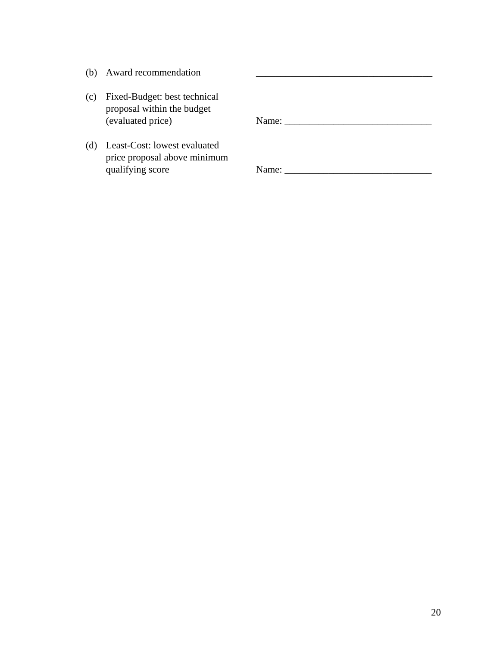- $(b)$  Award recommendation
- (c) Fixed-Budget: best technical proposal within the budget (evaluated price)

(d) Least-Cost: lowest evaluated price proposal above minimum qualifying score Name: Name: Name: Name: Name: Name: Name: Name: Name: Name: Name: Name: Name: Name: Name: Name: Name: Name: Name: Name: Name: Name: Name: Name: Name: Name: Name: Name: Name: Name: Name: Name: Name: Name: N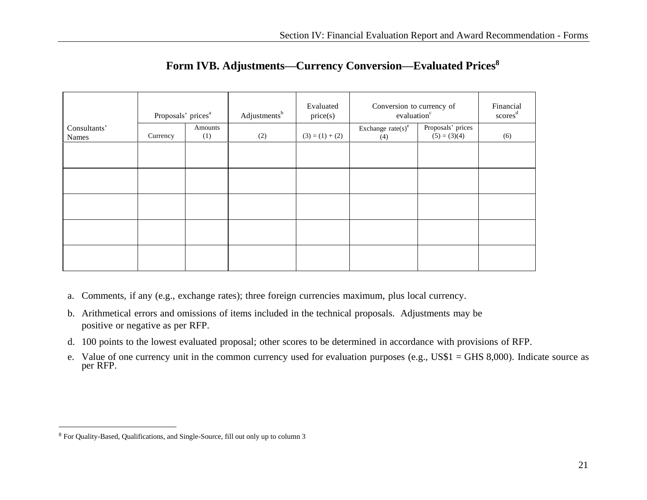|              | Proposals' prices <sup>a</sup> |         | Evaluated<br>Adjustments <sup>b</sup><br>price(s) |                   | Conversion to currency of<br>evaluation <sup>c</sup> | Financial<br>$\text{scores}^{\text{d}}$ |     |
|--------------|--------------------------------|---------|---------------------------------------------------|-------------------|------------------------------------------------------|-----------------------------------------|-----|
| Consultants' |                                | Amounts |                                                   |                   | Exchange $\text{rate(s)}^e$                          | Proposals' prices                       |     |
| Names        | Currency                       | (1)     | (2)                                               | $(3) = (1) + (2)$ | (4)                                                  | $(5) = (3)(4)$                          | (6) |
|              |                                |         |                                                   |                   |                                                      |                                         |     |
|              |                                |         |                                                   |                   |                                                      |                                         |     |
|              |                                |         |                                                   |                   |                                                      |                                         |     |
|              |                                |         |                                                   |                   |                                                      |                                         |     |
|              |                                |         |                                                   |                   |                                                      |                                         |     |

#### **Form IVB. Adjustments—Currency Conversion—Evaluated Prices<sup>8</sup>**

- <span id="page-25-0"></span>a. Comments, if any (e.g., exchange rates); three foreign currencies maximum, plus local currency.
- b. Arithmetical errors and omissions of items included in the technical proposals. Adjustments may be positive or negative as per RFP.
- d. 100 points to the lowest evaluated proposal; other scores to be determined in accordance with provisions of RFP.
- e. Value of one currency unit in the common currency used for evaluation purposes (e.g., US\$1 = GHS 8,000). Indicate source as per RFP.

<sup>8</sup> For Quality-Based, Qualifications, and Single-Source, fill out only up to column 3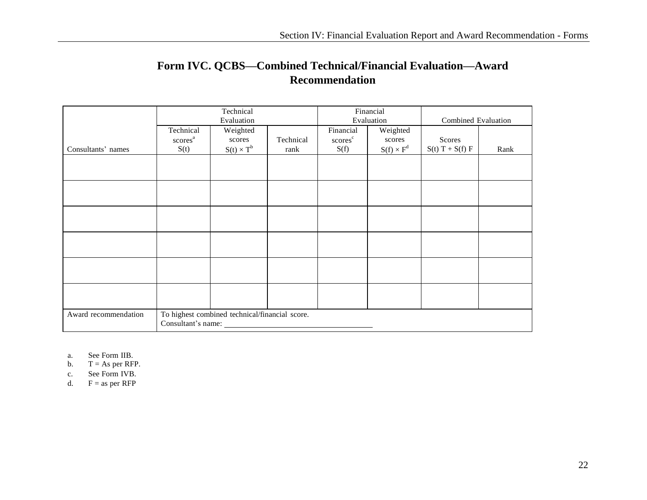## **Form IVC. QCBS—Combined Technical/Financial Evaluation—Award Recommendation**

<span id="page-26-0"></span>

|                      | Technical           |                                                | Financial |                     |                   |                     |      |
|----------------------|---------------------|------------------------------------------------|-----------|---------------------|-------------------|---------------------|------|
|                      |                     | Evaluation                                     |           |                     | Evaluation        | Combined Evaluation |      |
|                      | Technical           | Weighted                                       |           | Financial           | Weighted          |                     |      |
|                      | scores <sup>a</sup> | scores                                         | Technical | scores <sup>c</sup> | scores            | Scores              |      |
| Consultants' names   | S(t)                | $S(t) \times T^b$                              | rank      | S(f)                | $S(f) \times F^d$ | $S(t) T + S(f) F$   | Rank |
|                      |                     |                                                |           |                     |                   |                     |      |
|                      |                     |                                                |           |                     |                   |                     |      |
|                      |                     |                                                |           |                     |                   |                     |      |
|                      |                     |                                                |           |                     |                   |                     |      |
|                      |                     |                                                |           |                     |                   |                     |      |
|                      |                     |                                                |           |                     |                   |                     |      |
|                      |                     |                                                |           |                     |                   |                     |      |
|                      |                     |                                                |           |                     |                   |                     |      |
|                      |                     |                                                |           |                     |                   |                     |      |
|                      |                     |                                                |           |                     |                   |                     |      |
|                      |                     |                                                |           |                     |                   |                     |      |
|                      |                     |                                                |           |                     |                   |                     |      |
|                      |                     |                                                |           |                     |                   |                     |      |
| Award recommendation | Consultant's name:  | To highest combined technical/financial score. |           |                     |                   |                     |      |
|                      |                     |                                                |           |                     |                   |                     |      |

- a. See Form IIB.
- b.  $T = As per RFP.$
- c. See Form IVB.
- d.  $F = as per RFP$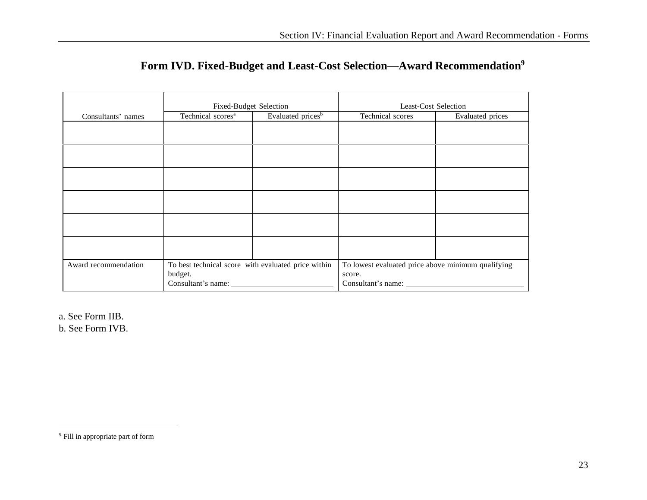|                      | <b>Fixed-Budget Selection</b>                       |                               | <b>Least-Cost Selection</b>                        |                         |  |
|----------------------|-----------------------------------------------------|-------------------------------|----------------------------------------------------|-------------------------|--|
| Consultants' names   | Technical scores <sup>a</sup>                       | Evaluated prices <sup>b</sup> | Technical scores                                   | <b>Evaluated</b> prices |  |
|                      |                                                     |                               |                                                    |                         |  |
|                      |                                                     |                               |                                                    |                         |  |
|                      |                                                     |                               |                                                    |                         |  |
|                      |                                                     |                               |                                                    |                         |  |
|                      |                                                     |                               |                                                    |                         |  |
|                      |                                                     |                               |                                                    |                         |  |
|                      |                                                     |                               |                                                    |                         |  |
|                      |                                                     |                               |                                                    |                         |  |
|                      |                                                     |                               |                                                    |                         |  |
|                      |                                                     |                               |                                                    |                         |  |
|                      |                                                     |                               |                                                    |                         |  |
|                      |                                                     |                               |                                                    |                         |  |
| Award recommendation | To best technical score with evaluated price within |                               | To lowest evaluated price above minimum qualifying |                         |  |
|                      | budget.                                             |                               | score.                                             |                         |  |
|                      | Consultant's name:                                  |                               | Consultant's name:                                 |                         |  |

<span id="page-27-0"></span>a. See Form IIB.

b. See Form IVB.

<sup>9</sup> Fill in appropriate part of form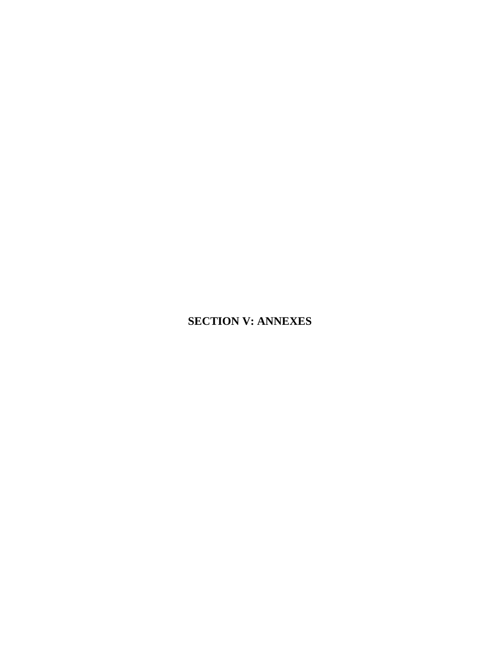## **SECTION V: ANNEXES**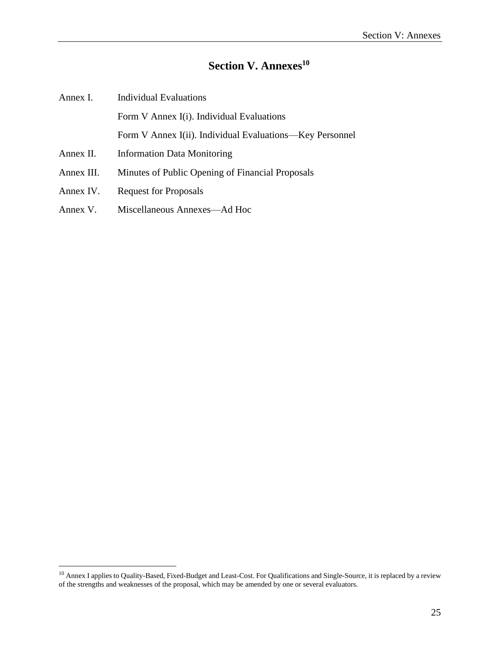#### **Section V. Annexes 10**

<span id="page-29-0"></span>

| Annex I.   | <b>Individual Evaluations</b>                            |
|------------|----------------------------------------------------------|
|            | Form V Annex I(i). Individual Evaluations                |
|            | Form V Annex I(ii). Individual Evaluations—Key Personnel |
| Annex II.  | <b>Information Data Monitoring</b>                       |
| Annex III. | Minutes of Public Opening of Financial Proposals         |
| Annex IV.  | <b>Request for Proposals</b>                             |
| Annex V.   | Miscellaneous Annexes—Ad Hoc                             |

 $10$  Annex I applies to Quality-Based, Fixed-Budget and Least-Cost. For Qualifications and Single-Source, it is replaced by a review of the strengths and weaknesses of the proposal, which may be amended by one or several evaluators.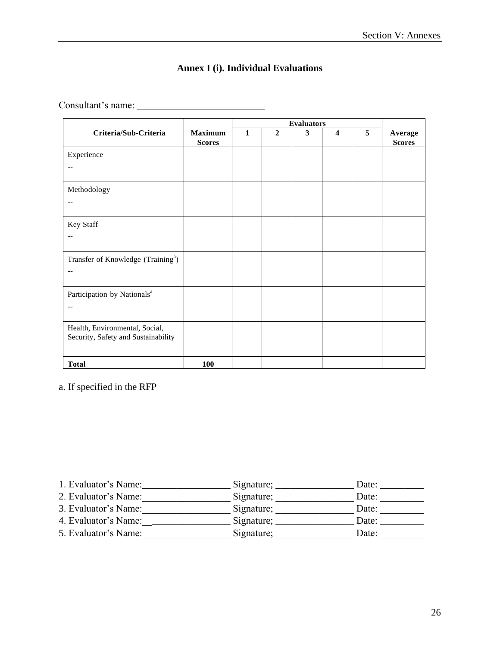#### **Annex I (i). Individual Evaluations**

<span id="page-30-0"></span>Consultant's name:

|                                                |                                 | <b>Evaluators</b> |                  |   |                         |   |                          |
|------------------------------------------------|---------------------------------|-------------------|------------------|---|-------------------------|---|--------------------------|
| Criteria/Sub-Criteria                          | <b>Maximum</b><br><b>Scores</b> | $\mathbf{1}$      | $\boldsymbol{2}$ | 3 | $\overline{\mathbf{4}}$ | 5 | Average<br><b>Scores</b> |
| Experience                                     |                                 |                   |                  |   |                         |   |                          |
| $-$                                            |                                 |                   |                  |   |                         |   |                          |
| Methodology                                    |                                 |                   |                  |   |                         |   |                          |
| $-$                                            |                                 |                   |                  |   |                         |   |                          |
| Key Staff                                      |                                 |                   |                  |   |                         |   |                          |
| --                                             |                                 |                   |                  |   |                         |   |                          |
| Transfer of Knowledge (Training <sup>a</sup> ) |                                 |                   |                  |   |                         |   |                          |
| $-$                                            |                                 |                   |                  |   |                         |   |                          |
| Participation by Nationals <sup>a</sup>        |                                 |                   |                  |   |                         |   |                          |
| $-$                                            |                                 |                   |                  |   |                         |   |                          |
| Health, Environmental, Social,                 |                                 |                   |                  |   |                         |   |                          |
| Security, Safety and Sustainability            |                                 |                   |                  |   |                         |   |                          |
| <b>Total</b>                                   | 100                             |                   |                  |   |                         |   |                          |

a. If specified in the RFP

| 1. Evaluator's Name: | Signature; | Date: |
|----------------------|------------|-------|
| 2. Evaluator's Name: | Signature; | Date: |
| 3. Evaluator's Name: | Signature; | Date: |
| 4. Evaluator's Name: | Signature; | Date: |
| 5. Evaluator's Name: | Signature; | Date: |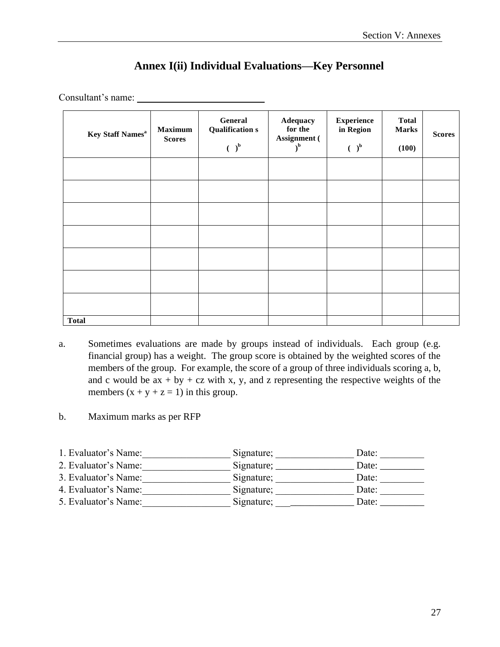| <b>Key Staff Names<sup>a</sup></b> | <b>Maximum</b><br><b>Scores</b> | General<br><b>Qualification s</b><br>$\mathbf{a}$<br>€. | Adequacy<br>for the<br>Assignment (<br>$\mathbf{b}$ | <b>Experience</b><br>in Region<br>$\left(\begin{array}{c} \end{array}\right)^b$ | <b>Total</b><br><b>Marks</b><br>(100) | <b>Scores</b> |
|------------------------------------|---------------------------------|---------------------------------------------------------|-----------------------------------------------------|---------------------------------------------------------------------------------|---------------------------------------|---------------|
|                                    |                                 |                                                         |                                                     |                                                                                 |                                       |               |
|                                    |                                 |                                                         |                                                     |                                                                                 |                                       |               |
|                                    |                                 |                                                         |                                                     |                                                                                 |                                       |               |
|                                    |                                 |                                                         |                                                     |                                                                                 |                                       |               |
|                                    |                                 |                                                         |                                                     |                                                                                 |                                       |               |
|                                    |                                 |                                                         |                                                     |                                                                                 |                                       |               |
|                                    |                                 |                                                         |                                                     |                                                                                 |                                       |               |
| <b>Total</b>                       |                                 |                                                         |                                                     |                                                                                 |                                       |               |

### **Annex I(ii) Individual Evaluations—Key Personnel**

<span id="page-31-0"></span>Consultant's name:

- a. Sometimes evaluations are made by groups instead of individuals. Each group (e.g. financial group) has a weight. The group score is obtained by the weighted scores of the members of the group. For example, the score of a group of three individuals scoring a, b, and c would be  $ax + by + cz$  with x, y, and z representing the respective weights of the members  $(x + y + z = 1)$  in this group.
- b. Maximum marks as per RFP

| 1. Evaluator's Name: | Signature; | Date: |
|----------------------|------------|-------|
| 2. Evaluator's Name: | Signature; | Date: |
| 3. Evaluator's Name: | Signature; | Date: |
| 4. Evaluator's Name: | Signature; | Date: |
| 5. Evaluator's Name: | Signature; | Date: |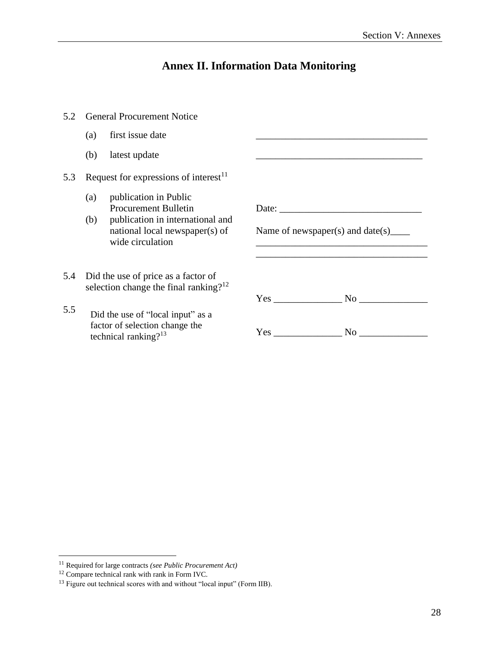#### **Annex II. Information Data Monitoring**

- <span id="page-32-0"></span>5.2 General Procurement Notice
	- (a) first issue date
	- $(b)$  latest update
- 5.3 Request for expressions of interest $11$ 
	- (a) publication in Public Procurement Bulletin
	- (b) publication in international and national local newspaper(s) of wide circulation
- 5.4 Did the use of price as a factor of selection change the final ranking? $12$
- 5.5 Did the use of "local input" as <sup>a</sup> factor of selection change the technical ranking? $13$

| Name of newspaper(s) and date(s)______ |  |
|----------------------------------------|--|
|                                        |  |
|                                        |  |
| $Yes$ No $\sim$ No $\sim$              |  |

<sup>11</sup> Required for large contracts *(see Public Procurement Act)*

 $12$  Compare technical rank with rank in Form IVC.

<sup>&</sup>lt;sup>13</sup> Figure out technical scores with and without "local input" (Form IIB).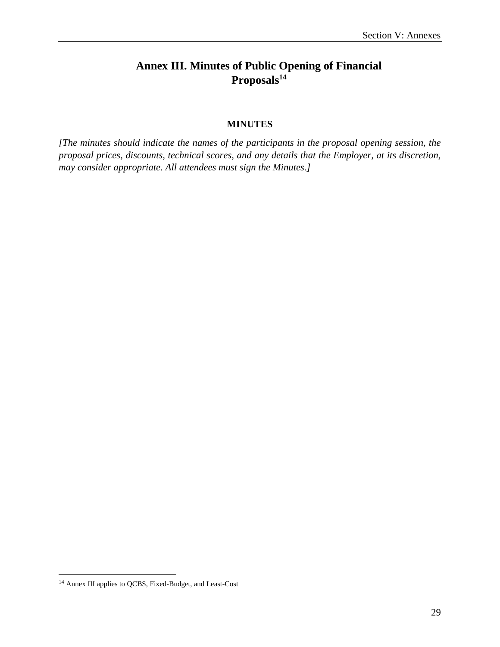## <span id="page-33-0"></span>**Annex III. Minutes of Public Opening of Financial Proposals 14**

#### **MINUTES**

<span id="page-33-1"></span>*[The minutes should indicate the names of the participants in the proposal opening session, the proposal prices, discounts, technical scores, and any details that the Employer, at its discretion, may consider appropriate. All attendees must sign the Minutes.]*

<sup>14</sup> Annex III applies to QCBS, Fixed-Budget, and Least-Cost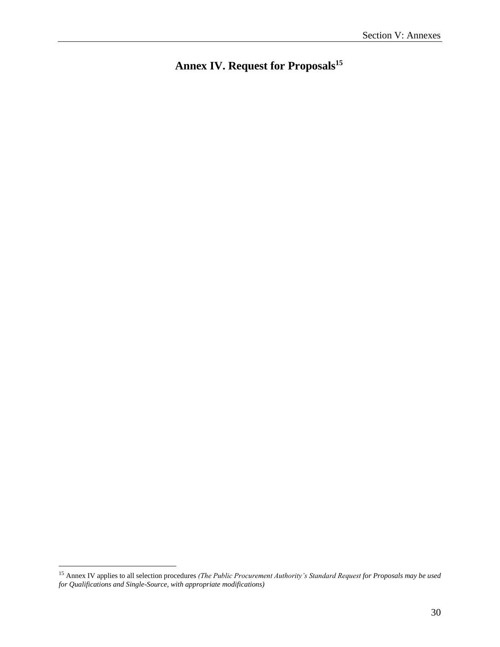<span id="page-34-0"></span>**Annex IV. Request for Proposals 15**

<sup>15</sup> Annex IV applies to all selection procedures *(The Public Procurement Authority's Standard Request for Proposals may be used for Qualifications and Single-Source, with appropriate modifications)*